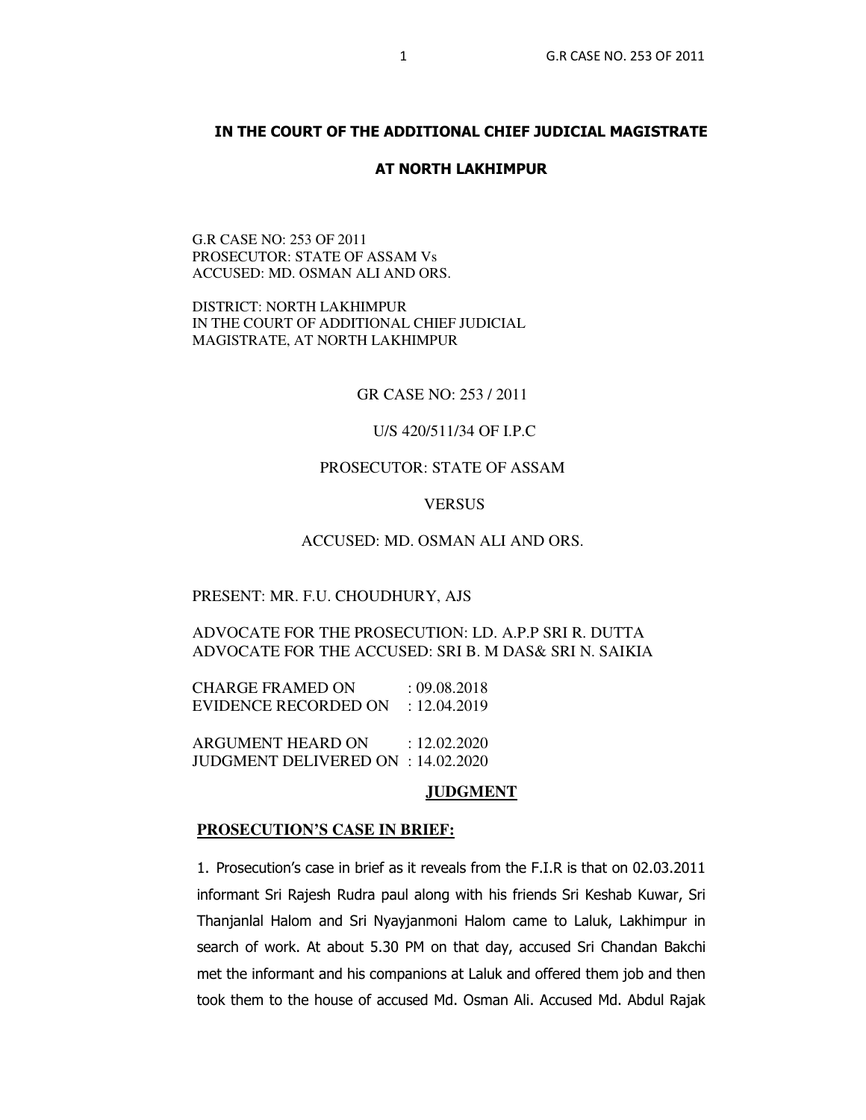# **IN THE COURT OF THE ADDITIONAL CHIEF JUDICIAL MAGISTRATE**

#### **AT NORTH LAKHIMPUR**

G.R CASE NO: 253 OF 2011 PROSECUTOR: STATE OF ASSAM Vs ACCUSED: MD. OSMAN ALI AND ORS.

DISTRICT: NORTH LAKHIMPUR IN THE COURT OF ADDITIONAL CHIEF JUDICIAL MAGISTRATE, AT NORTH LAKHIMPUR

GR CASE NO: 253 / 2011

## U/S 420/511/34 OF I.P.C

# PROSECUTOR: STATE OF ASSAM

### **VERSUS**

### ACCUSED: MD. OSMAN ALI AND ORS.

#### PRESENT: MR. F.U. CHOUDHURY, AJS

# ADVOCATE FOR THE PROSECUTION: LD. A.P.P SRI R. DUTTA ADVOCATE FOR THE ACCUSED: SRI B. M DAS& SRI N. SAIKIA

CHARGE FRAMED ON : 09.08.2018 EVIDENCE RECORDED ON : 12.04.2019

ARGUMENT HEARD ON : 12.02.2020 JUDGMENT DELIVERED ON : 14.02.2020

### **JUDGMENT**

### **PROSECUTION'S CASE IN BRIEF:**

1. Prosecution's case in brief as it reveals from the F.I.R is that on 02.03.2011 informant Sri Rajesh Rudra paul along with his friends Sri Keshab Kuwar, Sri Thanjanlal Halom and Sri Nyayjanmoni Halom came to Laluk, Lakhimpur in search of work. At about 5.30 PM on that day, accused Sri Chandan Bakchi met the informant and his companions at Laluk and offered them job and then took them to the house of accused Md. Osman Ali. Accused Md. Abdul Rajak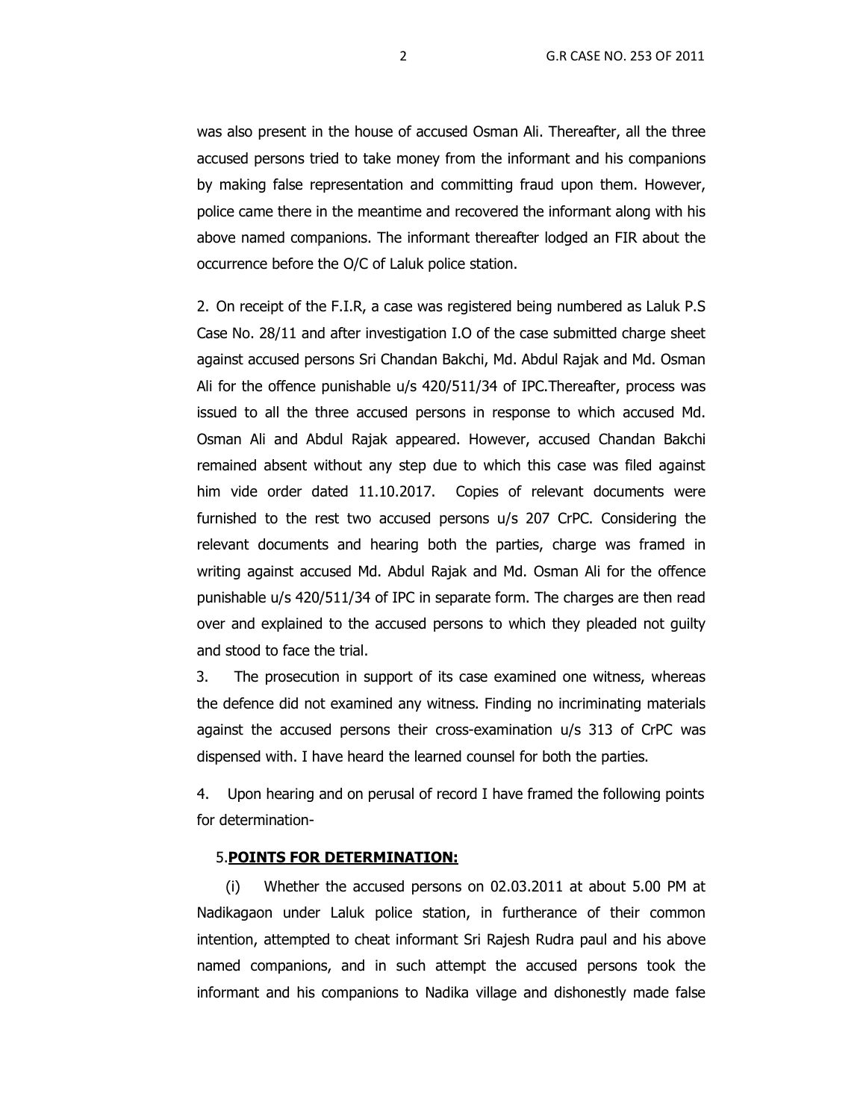was also present in the house of accused Osman Ali. Thereafter, all the three accused persons tried to take money from the informant and his companions by making false representation and committing fraud upon them. However, police came there in the meantime and recovered the informant along with his above named companions. The informant thereafter lodged an FIR about the occurrence before the O/C of Laluk police station.

2. On receipt of the F.I.R, a case was registered being numbered as Laluk P.S Case No. 28/11 and after investigation I.O of the case submitted charge sheet against accused persons Sri Chandan Bakchi, Md. Abdul Rajak and Md. Osman Ali for the offence punishable u/s 420/511/34 of IPC.Thereafter, process was issued to all the three accused persons in response to which accused Md. Osman Ali and Abdul Rajak appeared. However, accused Chandan Bakchi remained absent without any step due to which this case was filed against him vide order dated 11.10.2017. Copies of relevant documents were furnished to the rest two accused persons u/s 207 CrPC. Considering the relevant documents and hearing both the parties, charge was framed in writing against accused Md. Abdul Rajak and Md. Osman Ali for the offence punishable u/s 420/511/34 of IPC in separate form. The charges are then read over and explained to the accused persons to which they pleaded not guilty and stood to face the trial.

 3. The prosecution in support of its case examined one witness, whereas the defence did not examined any witness. Finding no incriminating materials against the accused persons their cross-examination u/s 313 of CrPC was dispensed with. I have heard the learned counsel for both the parties.

4. Upon hearing and on perusal of record I have framed the following points for determination-

### 5.**POINTS FOR DETERMINATION:**

(i) Whether the accused persons on 02.03.2011 at about 5.00 PM at Nadikagaon under Laluk police station, in furtherance of their common intention, attempted to cheat informant Sri Rajesh Rudra paul and his above named companions, and in such attempt the accused persons took the informant and his companions to Nadika village and dishonestly made false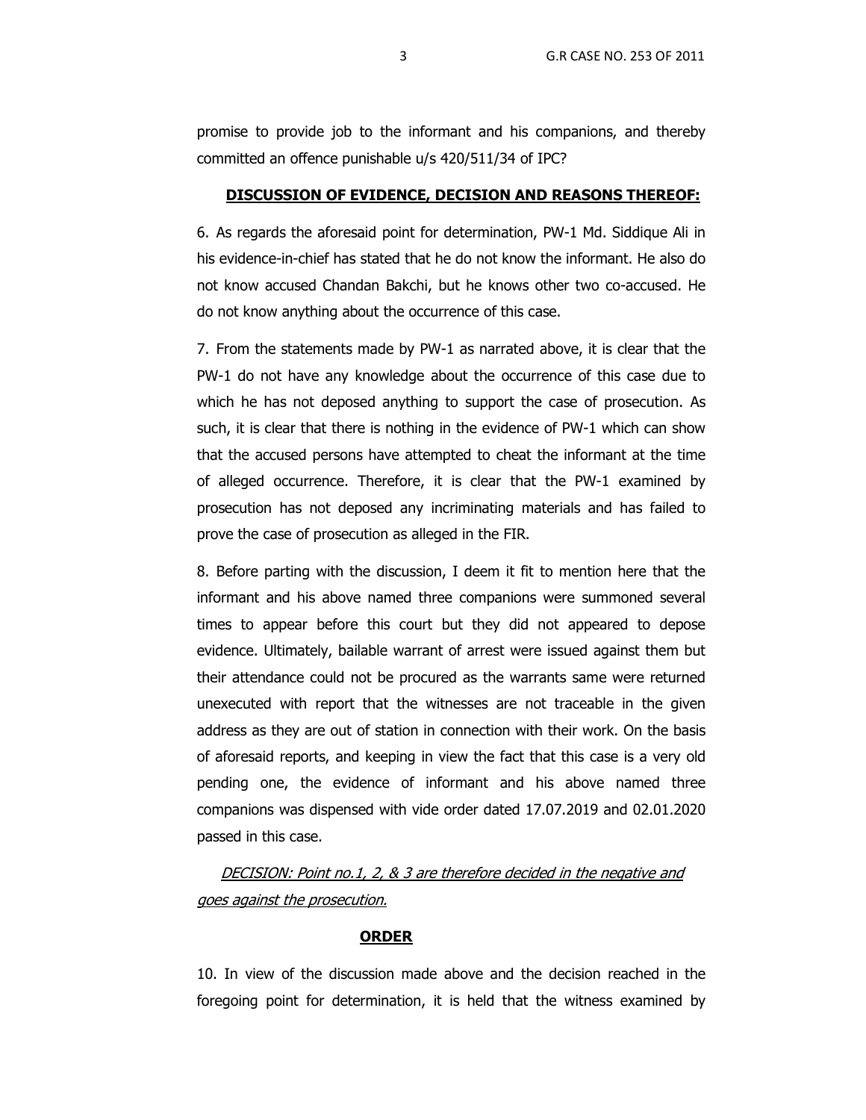promise to provide job to the informant and his companions, and thereby committed an offence punishable u/s 420/511/34 of IPC?

## **DISCUSSION OF EVIDENCE, DECISION AND REASONS THEREOF:**

6. As regards the aforesaid point for determination, PW-1 Md. Siddique Ali in his evidence-in-chief has stated that he do not know the informant. He also do not know accused Chandan Bakchi, but he knows other two co-accused. He do not know anything about the occurrence of this case.

7. From the statements made by PW-1 as narrated above, it is clear that the PW-1 do not have any knowledge about the occurrence of this case due to which he has not deposed anything to support the case of prosecution. As such, it is clear that there is nothing in the evidence of PW-1 which can show that the accused persons have attempted to cheat the informant at the time of alleged occurrence. Therefore, it is clear that the PW-1 examined by prosecution has not deposed any incriminating materials and has failed to prove the case of prosecution as alleged in the FIR.

8. Before parting with the discussion, I deem it fit to mention here that the informant and his above named three companions were summoned several times to appear before this court but they did not appeared to depose evidence. Ultimately, bailable warrant of arrest were issued against them but their attendance could not be procured as the warrants same were returned unexecuted with report that the witnesses are not traceable in the given address as they are out of station in connection with their work. On the basis of aforesaid reports, and keeping in view the fact that this case is a very old pending one, the evidence of informant and his above named three companions was dispensed with vide order dated 17.07.2019 and 02.01.2020 passed in this case.

DECISION: Point no.1, 2, & 3 are therefore decided in the negative and goes against the prosecution.

### **ORDER**

10. In view of the discussion made above and the decision reached in the foregoing point for determination, it is held that the witness examined by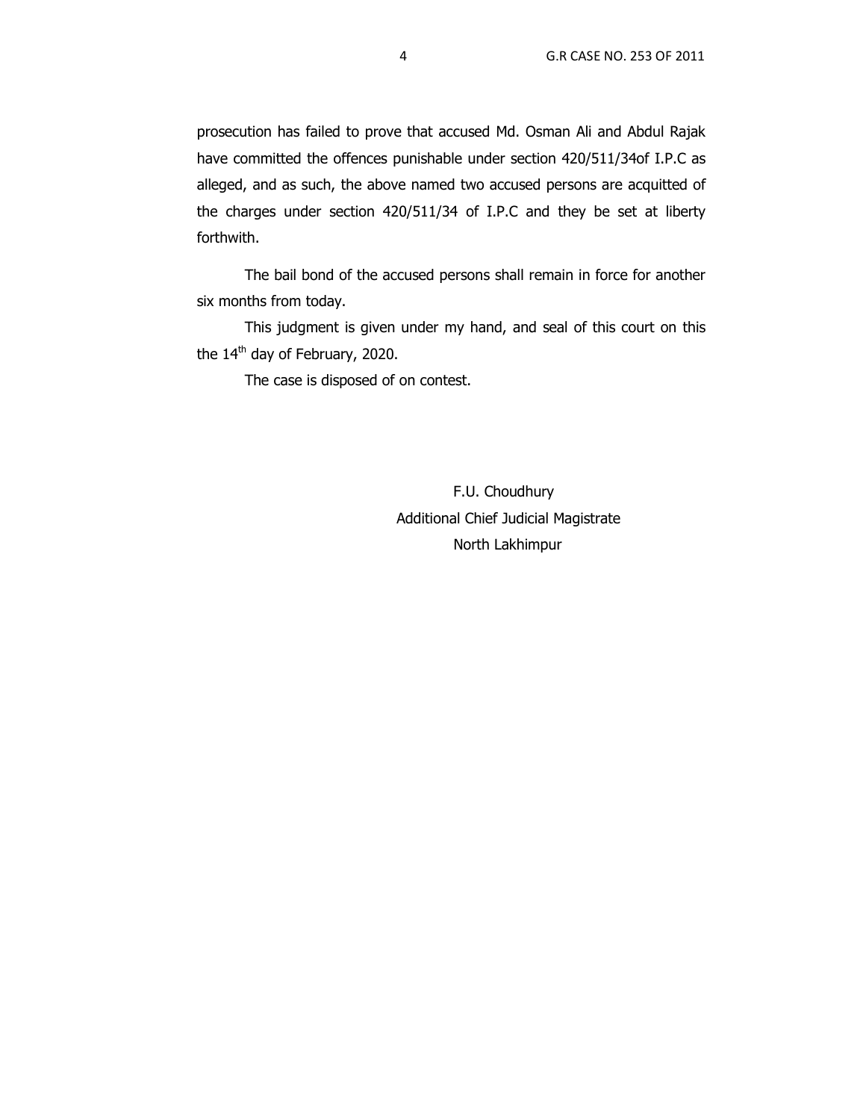prosecution has failed to prove that accused Md. Osman Ali and Abdul Rajak have committed the offences punishable under section 420/511/34of I.P.C as alleged, and as such, the above named two accused persons are acquitted of the charges under section 420/511/34 of I.P.C and they be set at liberty forthwith.

The bail bond of the accused persons shall remain in force for another six months from today.

This judgment is given under my hand, and seal of this court on this the 14<sup>th</sup> day of February, 2020.

The case is disposed of on contest.

 F.U. Choudhury Additional Chief Judicial Magistrate North Lakhimpur